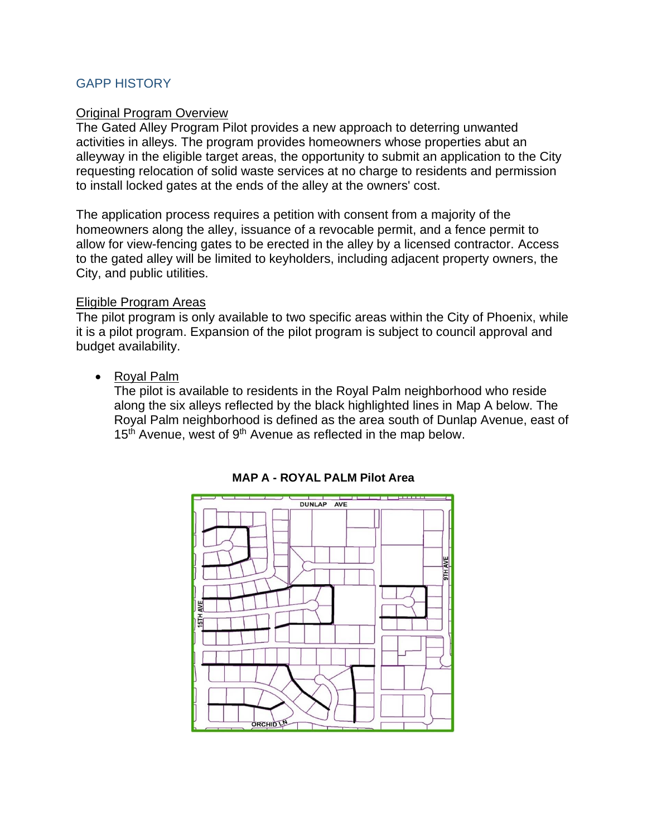## GAPP HISTORY

### Original Program Overview

The Gated Alley Program Pilot provides a new approach to deterring unwanted activities in alleys. The program provides homeowners whose properties abut an alleyway in the eligible target areas, the opportunity to submit an application to the City requesting relocation of solid waste services at no charge to residents and permission to install locked gates at the ends of the alley at the owners' cost.

The application process requires a petition with consent from a majority of the homeowners along the alley, issuance of a revocable permit, and a fence permit to allow for view-fencing gates to be erected in the alley by a licensed contractor. Access to the gated alley will be limited to keyholders, including adjacent property owners, the City, and public utilities.

#### Eligible Program Areas

The pilot program is only available to two specific areas within the City of Phoenix, while it is a pilot program. Expansion of the pilot program is subject to council approval and budget availability.

### • Royal Palm

The pilot is available to residents in the Royal Palm neighborhood who reside along the six alleys reflected by the black highlighted lines in Map A below. The Royal Palm neighborhood is defined as the area south of Dunlap Avenue, east of 15<sup>th</sup> Avenue, west of 9<sup>th</sup> Avenue as reflected in the map below.



**MAP A - ROYAL PALM Pilot Area**